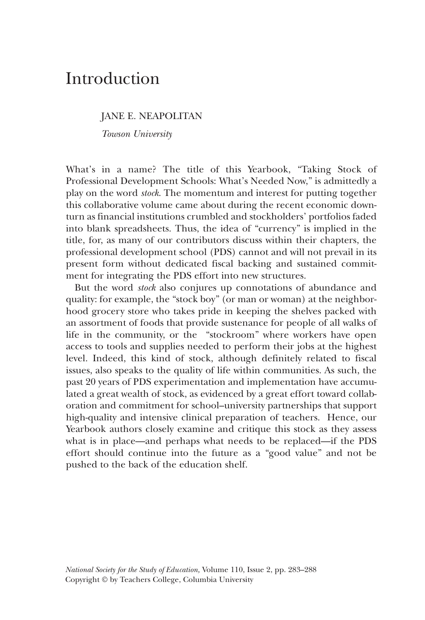## Introduction

## JANE E. NEAPOLITAN

*Towson University*

What's in a name? The title of this Yearbook, "Taking Stock of Professional Development Schools: What's Needed Now," is admittedly a play on the word *stock*. The momentum and interest for putting together this collaborative volume came about during the recent economic downturn as financial institutions crumbled and stockholders' portfolios faded into blank spreadsheets. Thus, the idea of "currency" is implied in the title, for, as many of our contributors discuss within their chapters, the professional development school (PDS) cannot and will not prevail in its present form without dedicated fiscal backing and sustained commitment for integrating the PDS effort into new structures.

But the word *stock* also conjures up connotations of abundance and quality: for example, the "stock boy" (or man or woman) at the neighborhood grocery store who takes pride in keeping the shelves packed with an assortment of foods that provide sustenance for people of all walks of life in the community, or the "stockroom" where workers have open access to tools and supplies needed to perform their jobs at the highest level. Indeed, this kind of stock, although definitely related to fiscal issues, also speaks to the quality of life within communities. As such, the past 20 years of PDS experimentation and implementation have accumulated a great wealth of stock, as evidenced by a great effort toward collaboration and commitment for school–university partnerships that support high-quality and intensive clinical preparation of teachers. Hence, our Yearbook authors closely examine and critique this stock as they assess what is in place—and perhaps what needs to be replaced—if the PDS effort should continue into the future as a "good value" and not be pushed to the back of the education shelf.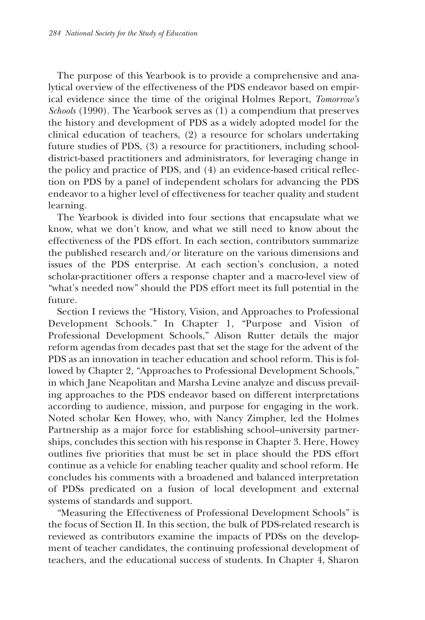The purpose of this Yearbook is to provide a comprehensive and analytical overview of the effectiveness of the PDS endeavor based on empirical evidence since the time of the original Holmes Report, *Tomorrow's Schools* (1990). The Yearbook serves as (1) a compendium that preserves the history and development of PDS as a widely adopted model for the clinical education of teachers, (2) a resource for scholars undertaking future studies of PDS, (3) a resource for practitioners, including schooldistrict-based practitioners and administrators, for leveraging change in the policy and practice of PDS, and (4) an evidence-based critical reflection on PDS by a panel of independent scholars for advancing the PDS endeavor to a higher level of effectiveness for teacher quality and student learning.

The Yearbook is divided into four sections that encapsulate what we know, what we don't know, and what we still need to know about the effectiveness of the PDS effort. In each section, contributors summarize the published research and/or literature on the various dimensions and issues of the PDS enterprise. At each section's conclusion, a noted scholar-practitioner offers a response chapter and a macro-level view of "what's needed now" should the PDS effort meet its full potential in the future.

Section I reviews the "History, Vision, and Approaches to Professional Development Schools." In Chapter 1, "Purpose and Vision of Professional Development Schools," Alison Rutter details the major reform agendas from decades past that set the stage for the advent of the PDS as an innovation in teacher education and school reform. This is followed by Chapter 2, "Approaches to Professional Development Schools," in which Jane Neapolitan and Marsha Levine analyze and discuss prevailing approaches to the PDS endeavor based on different interpretations according to audience, mission, and purpose for engaging in the work. Noted scholar Ken Howey, who, with Nancy Zimpher, led the Holmes Partnership as a major force for establishing school–university partnerships, concludes this section with his response in Chapter 3. Here, Howey outlines five priorities that must be set in place should the PDS effort continue as a vehicle for enabling teacher quality and school reform. He concludes his comments with a broadened and balanced interpretation of PDSs predicated on a fusion of local development and external systems of standards and support.

"Measuring the Effectiveness of Professional Development Schools" is the focus of Section II. In this section, the bulk of PDS-related research is reviewed as contributors examine the impacts of PDSs on the development of teacher candidates, the continuing professional development of teachers, and the educational success of students. In Chapter 4, Sharon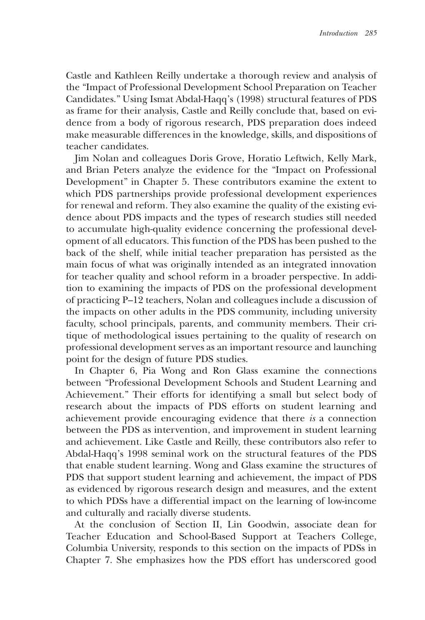Castle and Kathleen Reilly undertake a thorough review and analysis of the "Impact of Professional Development School Preparation on Teacher Candidates." Using Ismat Abdal-Haqq's (1998) structural features of PDS as frame for their analysis, Castle and Reilly conclude that, based on evidence from a body of rigorous research, PDS preparation does indeed make measurable differences in the knowledge, skills, and dispositions of teacher candidates.

Jim Nolan and colleagues Doris Grove, Horatio Leftwich, Kelly Mark, and Brian Peters analyze the evidence for the "Impact on Professional Development" in Chapter 5. These contributors examine the extent to which PDS partnerships provide professional development experiences for renewal and reform. They also examine the quality of the existing evidence about PDS impacts and the types of research studies still needed to accumulate high-quality evidence concerning the professional development of all educators. This function of the PDS has been pushed to the back of the shelf, while initial teacher preparation has persisted as the main focus of what was originally intended as an integrated innovation for teacher quality and school reform in a broader perspective. In addition to examining the impacts of PDS on the professional development of practicing P–12 teachers, Nolan and colleagues include a discussion of the impacts on other adults in the PDS community, including university faculty, school principals, parents, and community members. Their critique of methodological issues pertaining to the quality of research on professional development serves as an important resource and launching point for the design of future PDS studies.

In Chapter 6, Pia Wong and Ron Glass examine the connections between "Professional Development Schools and Student Learning and Achievement." Their efforts for identifying a small but select body of research about the impacts of PDS efforts on student learning and achievement provide encouraging evidence that there *is* a connection between the PDS as intervention, and improvement in student learning and achievement. Like Castle and Reilly, these contributors also refer to Abdal-Haqq's 1998 seminal work on the structural features of the PDS that enable student learning. Wong and Glass examine the structures of PDS that support student learning and achievement, the impact of PDS as evidenced by rigorous research design and measures, and the extent to which PDSs have a differential impact on the learning of low-income and culturally and racially diverse students.

At the conclusion of Section II, Lin Goodwin, associate dean for Teacher Education and School-Based Support at Teachers College, Columbia University, responds to this section on the impacts of PDSs in Chapter 7. She emphasizes how the PDS effort has underscored good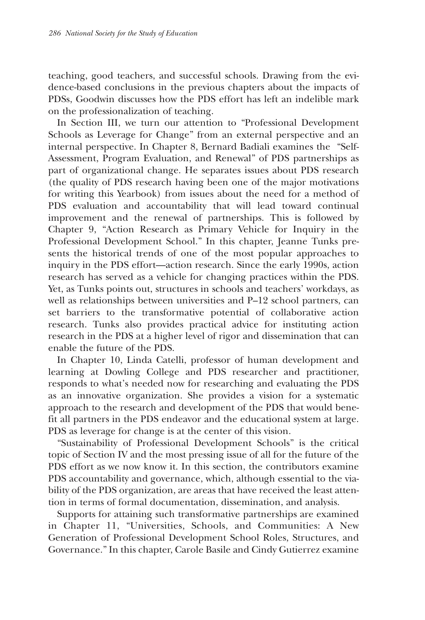teaching, good teachers, and successful schools. Drawing from the evidence-based conclusions in the previous chapters about the impacts of PDSs, Goodwin discusses how the PDS effort has left an indelible mark on the professionalization of teaching.

In Section III, we turn our attention to "Professional Development Schools as Leverage for Change" from an external perspective and an internal perspective. In Chapter 8, Bernard Badiali examines the "Self-Assessment, Program Evaluation, and Renewal" of PDS partnerships as part of organizational change. He separates issues about PDS research (the quality of PDS research having been one of the major motivations for writing this Yearbook) from issues about the need for a method of PDS evaluation and accountability that will lead toward continual improvement and the renewal of partnerships. This is followed by Chapter 9, "Action Research as Primary Vehicle for Inquiry in the Professional Development School." In this chapter, Jeanne Tunks presents the historical trends of one of the most popular approaches to inquiry in the PDS effort—action research. Since the early 1990s, action research has served as a vehicle for changing practices within the PDS. Yet, as Tunks points out, structures in schools and teachers' workdays, as well as relationships between universities and P–12 school partners, can set barriers to the transformative potential of collaborative action research. Tunks also provides practical advice for instituting action research in the PDS at a higher level of rigor and dissemination that can enable the future of the PDS.

In Chapter 10, Linda Catelli, professor of human development and learning at Dowling College and PDS researcher and practitioner, responds to what's needed now for researching and evaluating the PDS as an innovative organization. She provides a vision for a systematic approach to the research and development of the PDS that would benefit all partners in the PDS endeavor and the educational system at large. PDS as leverage for change is at the center of this vision.

"Sustainability of Professional Development Schools" is the critical topic of Section IV and the most pressing issue of all for the future of the PDS effort as we now know it. In this section, the contributors examine PDS accountability and governance, which, although essential to the viability of the PDS organization, are areas that have received the least attention in terms of formal documentation, dissemination, and analysis.

Supports for attaining such transformative partnerships are examined in Chapter 11, "Universities, Schools, and Communities: A New Generation of Professional Development School Roles, Structures, and Governance." In this chapter, Carole Basile and Cindy Gutierrez examine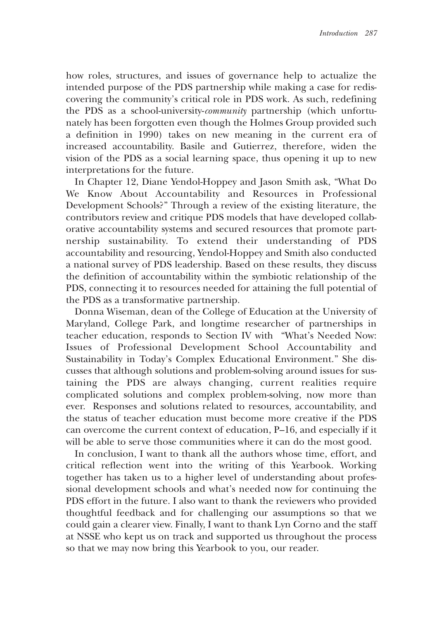how roles, structures, and issues of governance help to actualize the intended purpose of the PDS partnership while making a case for rediscovering the community's critical role in PDS work. As such, redefining the PDS as a school-university-*community* partnership (which unfortunately has been forgotten even though the Holmes Group provided such a definition in 1990) takes on new meaning in the current era of increased accountability. Basile and Gutierrez, therefore, widen the vision of the PDS as a social learning space, thus opening it up to new interpretations for the future.

In Chapter 12, Diane Yendol-Hoppey and Jason Smith ask, "What Do We Know About Accountability and Resources in Professional Development Schools?" Through a review of the existing literature, the contributors review and critique PDS models that have developed collaborative accountability systems and secured resources that promote partnership sustainability. To extend their understanding of PDS accountability and resourcing, Yendol-Hoppey and Smith also conducted a national survey of PDS leadership. Based on these results, they discuss the definition of accountability within the symbiotic relationship of the PDS, connecting it to resources needed for attaining the full potential of the PDS as a transformative partnership.

Donna Wiseman, dean of the College of Education at the University of Maryland, College Park, and longtime researcher of partnerships in teacher education, responds to Section IV with "What's Needed Now: Issues of Professional Development School Accountability and Sustainability in Today's Complex Educational Environment." She discusses that although solutions and problem-solving around issues for sustaining the PDS are always changing, current realities require complicated solutions and complex problem-solving, now more than ever. Responses and solutions related to resources, accountability, and the status of teacher education must become more creative if the PDS can overcome the current context of education, P–16, and especially if it will be able to serve those communities where it can do the most good.

In conclusion, I want to thank all the authors whose time, effort, and critical reflection went into the writing of this Yearbook. Working together has taken us to a higher level of understanding about professional development schools and what's needed now for continuing the PDS effort in the future. I also want to thank the reviewers who provided thoughtful feedback and for challenging our assumptions so that we could gain a clearer view. Finally, I want to thank Lyn Corno and the staff at NSSE who kept us on track and supported us throughout the process so that we may now bring this Yearbook to you, our reader.